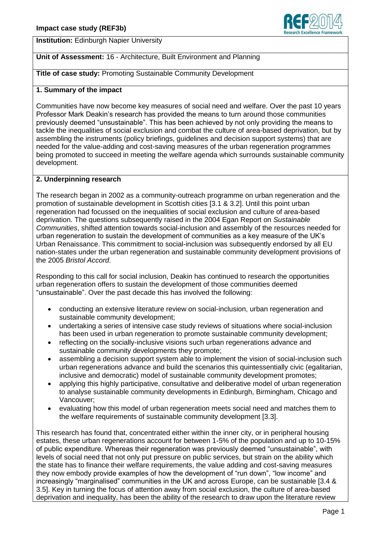**Institution:** Edinburgh Napier University

# **Unit of Assessment:** 16 - Architecture, Built Environment and Planning

**Title of case study:** Promoting Sustainable Community Development

#### **1. Summary of the impact**

Communities have now become key measures of social need and welfare. Over the past 10 years Professor Mark Deakin's research has provided the means to turn around those communities previously deemed "unsustainable". This has been achieved by not only providing the means to tackle the inequalities of social exclusion and combat the culture of area-based deprivation, but by assembling the instruments (policy briefings, guidelines and decision support systems) that are needed for the value-adding and cost-saving measures of the urban regeneration programmes being promoted to succeed in meeting the welfare agenda which surrounds sustainable community development.

# **2. Underpinning research**

The research began in 2002 as a community-outreach programme on urban regeneration and the promotion of sustainable development in Scottish cities [3.1 & 3.2]. Until this point urban regeneration had focussed on the inequalities of social exclusion and culture of area-based deprivation. The questions subsequently raised in the 2004 Egan Report on *Sustainable Communities*, shifted attention towards social-inclusion and assembly of the resources needed for urban regeneration to sustain the development of communities as a key measure of the UK's Urban Renaissance. This commitment to social-inclusion was subsequently endorsed by all EU nation-states under the urban regeneration and sustainable community development provisions of the 2005 *Bristol Accord*.

Responding to this call for social inclusion, Deakin has continued to research the opportunities urban regeneration offers to sustain the development of those communities deemed "unsustainable". Over the past decade this has involved the following:

- conducting an extensive literature review on social-inclusion, urban regeneration and sustainable community development;
- undertaking a series of intensive case study reviews of situations where social-inclusion has been used in urban regeneration to promote sustainable community development;
- reflecting on the socially-inclusive visions such urban regenerations advance and sustainable community developments they promote;
- assembling a decision support system able to implement the vision of social-inclusion such urban regenerations advance and build the scenarios this quintessentially civic (egalitarian, inclusive and democratic) model of sustainable community development promotes;
- applying this highly participative, consultative and deliberative model of urban regeneration to analyse sustainable community developments in Edinburgh, Birmingham, Chicago and Vancouver;
- evaluating how this model of urban regeneration meets social need and matches them to the welfare requirements of sustainable community development [3.3].

This research has found that, concentrated either within the inner city, or in peripheral housing estates, these urban regenerations account for between 1-5% of the population and up to 10-15% of public expenditure. Whereas their regeneration was previously deemed "unsustainable", with levels of social need that not only put pressure on public services, but strain on the ability which the state has to finance their welfare requirements, the value adding and cost-saving measures they now embody provide examples of how the development of "run down", "low income" and increasingly "marginalised" communities in the UK and across Europe, can be sustainable [3.4 & 3.5]. Key in turning the focus of attention away from social exclusion, the culture of area-based deprivation and inequality, has been the ability of the research to draw upon the literature review

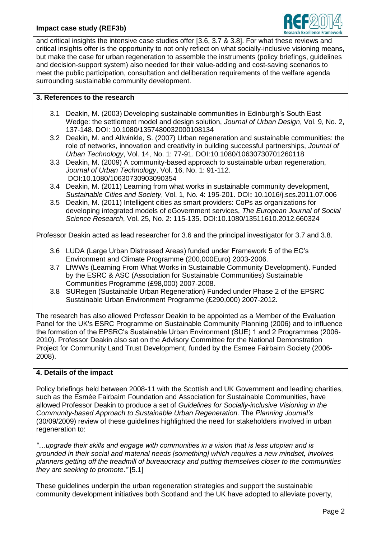

and critical insights the intensive case studies offer [3.6, 3.7 & 3.8]. For what these reviews and critical insights offer is the opportunity to not only reflect on what socially-inclusive visioning means, but make the case for urban regeneration to assemble the instruments (policy briefings, guidelines and decision-support system) also needed for their value-adding and cost-saving scenarios to meet the public participation, consultation and deliberation requirements of the welfare agenda surrounding sustainable community development.

## **3. References to the research**

- 3.1 Deakin, M. (2003) Developing sustainable communities in Edinburgh's South East Wedge: the settlement model and design solution, *Journal of Urban Design*, Vol. 9, No. 2, 137-148. DOI: 10.1080/1357480032000108134
- 3.2 Deakin*,* M. and Allwinkle, S. (2007) Urban regeneration and sustainable communities: the role of networks, innovation and creativity in building successful partnerships, *Journal of Urban Technology*, Vol. 14, No. 1: 77-91. DOI:10.1080/10630730701260118
- 3.3 Deakin, M. (2009) A community-based approach to sustainable urban regeneration, Journal of Urban Technology, Vol. 16, No. 1: 91-112. DOI:10.1080/10630730903090354
- 3.4 Deakin, M. (2011) Learning from what works in sustainable community development, *Sustainable Cities and Society*, Vol. 1, No. 4: 195-201. DOI**:** 10.1016/j.scs.2011.07.006
- 3.5 Deakin, M. (2011) Intelligent cities as smart providers: CoPs as organizations for developing integrated models of eGovernment services, *The European Journal of Social Science Research*, Vol. 25, No. 2: 115-135. DOI:10.1080/13511610.2012.660324

Professor Deakin acted as lead researcher for 3.6 and the principal investigator for 3.7 and 3.8.

- 3.6 LUDA (Large Urban Distressed Areas) funded under Framework 5 of the EC's Environment and Climate Programme (200,000Euro) 2003-2006.
- 3.7 LfWWs (Learning From What Works in Sustainable Community Development). Funded by the ESRC & ASC (Association for Sustainable Communities) Sustainable Communities Programme (£98,000) 2007-2008.
- 3.8 SURegen (Sustainable Urban Regeneration) Funded under Phase 2 of the EPSRC Sustainable Urban Environment Programme (£290,000) 2007-2012.

The research has also allowed Professor Deakin to be appointed as a Member of the Evaluation Panel for the UK's ESRC Programme on Sustainable Community Planning (2006) and to influence the formation of the EPSRC's Sustainable Urban Environment (SUE) 1 and 2 Programmes (2006- 2010). Professor Deakin also sat on the Advisory Committee for the National Demonstration Project for Community Land Trust Development, funded by the Esmee Fairbairn Society (2006- 2008).

# **4. Details of the impact**

Policy briefings held between 2008-11 with the Scottish and UK Government and leading charities, such as the Esmée Fairbairn Foundation and Association for Sustainable Communities, have allowed Professor Deakin to produce a set of *Guidelines for Socially-inclusive Visioning in the Community-based Approach to Sustainable Urban Regeneration*. The *Planning Journal's* (30/09/2009) review of these guidelines highlighted the need for stakeholders involved in urban regeneration to:

*"…upgrade their skills and engage with communities in a vision that is less utopian and is grounded in their social and material needs [something] which requires a new mindset, involves planners getting off the treadmill of bureaucracy and putting themselves closer to the communities they are seeking to promote."* [5.1]

These guidelines underpin the urban regeneration strategies and support the sustainable community development initiatives both Scotland and the UK have adopted to alleviate poverty,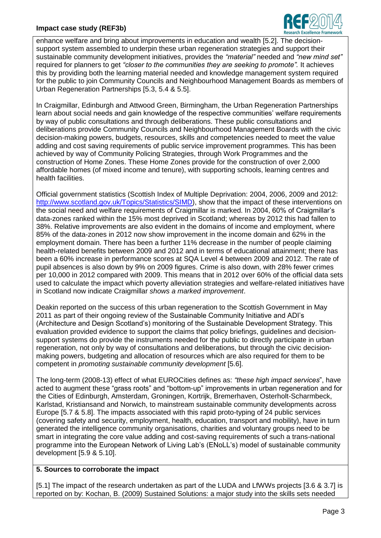## **Impact case study (REF3b)**



enhance welfare and bring about improvements in education and wealth [5.2]. The decisionsupport system assembled to underpin these urban regeneration strategies and support their sustainable community development initiatives, provides the *"material"* needed and *"new mind set"* required for planners to get *"closer to the communities they are seeking to promote".* It achieves this by providing both the learning material needed and knowledge management system required for the public to join Community Councils and Neighbourhood Management Boards as members of Urban Regeneration Partnerships [5.3, 5.4 & 5.5].

In Craigmillar, Edinburgh and Attwood Green, Birmingham, the Urban Regeneration Partnerships learn about social needs and gain knowledge of the respective communities' welfare requirements by way of public consultations and through deliberations. These public consultations and deliberations provide Community Councils and Neighbourhood Management Boards with the civic decision-making powers, budgets, resources, skills and competencies needed to meet the value adding and cost saving requirements of public service improvement programmes. This has been achieved by way of Community Policing Strategies, through Work Programmes and the construction of Home Zones. These Home Zones provide for the construction of over 2,000 affordable homes (of mixed income and tenure), with supporting schools, learning centres and health facilities.

Official government statistics (Scottish Index of Multiple Deprivation: 2004, 2006, 2009 and 2012: [http://www.scotland.gov.uk/Topics/Statistics/SIMD\)](http://www.scotland.gov.uk/Topics/Statistics/SIMD), show that the impact of these interventions on the social need and welfare requirements of Craigmillar is marked. In 2004, 60% of Craigmillar's data-zones ranked within the 15% most deprived in Scotland; whereas by 2012 this had fallen to 38%. Relative improvements are also evident in the domains of income and employment, where 85% of the data-zones in 2012 now show improvement in the income domain and 62% in the employment domain. There has been a further 11% decrease in the number of people claiming health-related benefits between 2009 and 2012 and in terms of educational attainment; there has been a 60% increase in performance scores at SQA Level 4 between 2009 and 2012. The rate of pupil absences is also down by 9% on 2009 figures. Crime is also down, with 28% fewer crimes per 10,000 in 2012 compared with 2009. This means that in 2012 over 60% of the official data sets used to calculate the impact which poverty alleviation strategies and welfare-related initiatives have in Scotland now indicate Craigmillar *shows a marked improvement*.

Deakin reported on the success of this urban regeneration to the Scottish Government in May 2011 as part of their ongoing review of the Sustainable Community Initiative and ADI's (Architecture and Design Scotland's) monitoring of the Sustainable Development Strategy. This evaluation provided evidence to support the claims that policy briefings, guidelines and decisionsupport systems do provide the instruments needed for the public to directly participate in urban regeneration, not only by way of consultations and deliberations, but through the civic decisionmaking powers, budgeting and allocation of resources which are also required for them to be competent in *promoting sustainable community development* [5.6].

The long-term (2008-13) effect of what EUROCities defines as: *"these high impact services*", have acted to augment these "grass roots" and "bottom-up" improvements in urban regeneration and for the Cities of Edinburgh, Amsterdam, Groningen, Kortrijk, Bremerhaven, Osterholt-Scharmbeck, Karlstad, Kristiansand and Norwich, to mainstream sustainable community developments across Europe [5.7 & 5.8]. The impacts associated with this rapid proto-typing of 24 public services (covering safety and security, employment, health, education, transport and mobility), have in turn generated the intelligence community organisations, charities and voluntary groups need to be smart in integrating the core value adding and cost-saving requirements of such a trans-national programme into the European Network of Living Lab's (ENoLL's) model of sustainable community development [5.9 & 5.10].

#### **5. Sources to corroborate the impact**

[5.1] The impact of the research undertaken as part of the LUDA and LfWWs projects [3.6 & 3.7] is reported on by: Kochan, B. (2009) Sustained Solutions: a major study into the skills sets needed